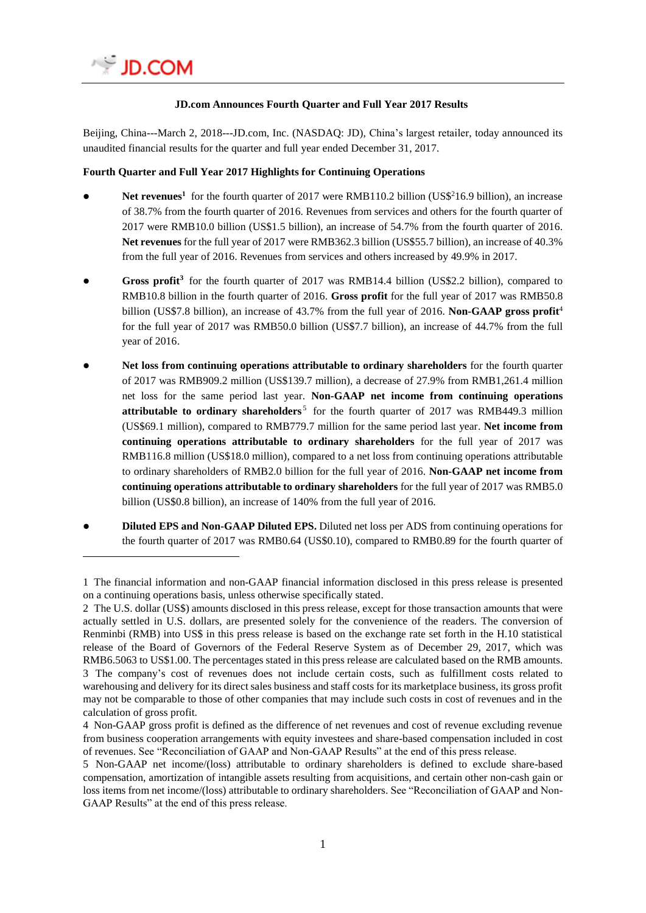

 $\overline{\phantom{a}}$ 

### **JD.com Announces Fourth Quarter and Full Year 2017 Results**

Beijing, China---March 2, 2018---JD.com, Inc. (NASDAQ: JD), China's largest retailer, today announced its unaudited financial results for the quarter and full year ended December 31, 2017.

### **Fourth Quarter and Full Year 2017 Highlights for Continuing Operations**

- **•** Net revenues<sup>1</sup> for the fourth quarter of 2017 were RMB110.2 billion (US\$<sup>2</sup>16.9 billion), an increase of 38.7% from the fourth quarter of 2016. Revenues from services and others for the fourth quarter of 2017 were RMB10.0 billion (US\$1.5 billion), an increase of 54.7% from the fourth quarter of 2016. **Net revenues** for the full year of 2017 were RMB362.3 billion (US\$55.7 billion), an increase of 40.3% from the full year of 2016. Revenues from services and others increased by 49.9% in 2017.
- **Gross profit<sup>3</sup>** for the fourth quarter of 2017 was RMB14.4 billion (US\$2.2 billion), compared to RMB10.8 billion in the fourth quarter of 2016. **Gross profit** for the full year of 2017 was RMB50.8 billion (US\$7.8 billion), an increase of 43.7% from the full year of 2016. **Non-GAAP gross profit**<sup>4</sup> for the full year of 2017 was RMB50.0 billion (US\$7.7 billion), an increase of 44.7% from the full year of 2016.
- **Net loss from continuing operations attributable to ordinary shareholders** for the fourth quarter of 2017 was RMB909.2 million (US\$139.7 million), a decrease of 27.9% from RMB1,261.4 million net loss for the same period last year. **Non-GAAP net income from continuing operations** attributable to ordinary shareholders<sup>5</sup> for the fourth quarter of 2017 was RMB449.3 million (US\$69.1 million), compared to RMB779.7 million for the same period last year. **Net income from continuing operations attributable to ordinary shareholders** for the full year of 2017 was RMB116.8 million (US\$18.0 million), compared to a net loss from continuing operations attributable to ordinary shareholders of RMB2.0 billion for the full year of 2016. **Non-GAAP net income from continuing operations attributable to ordinary shareholders** for the full year of 2017 was RMB5.0 billion (US\$0.8 billion), an increase of 140% from the full year of 2016.
- **Diluted EPS and Non-GAAP Diluted EPS.** Diluted net loss per ADS from continuing operations for the fourth quarter of 2017 was RMB0.64 (US\$0.10), compared to RMB0.89 for the fourth quarter of

<sup>1</sup> The financial information and non-GAAP financial information disclosed in this press release is presented on a continuing operations basis, unless otherwise specifically stated.

<sup>2</sup> The U.S. dollar (US\$) amounts disclosed in this press release, except for those transaction amounts that were actually settled in U.S. dollars, are presented solely for the convenience of the readers. The conversion of Renminbi (RMB) into US\$ in this press release is based on the exchange rate set forth in the H.10 statistical release of the Board of Governors of the Federal Reserve System as of December 29, 2017, which was RMB6.5063 to US\$1.00. The percentages stated in this press release are calculated based on the RMB amounts. 3 The company's cost of revenues does not include certain costs, such as fulfillment costs related to warehousing and delivery for its direct sales business and staff costs for its marketplace business, its gross profit may not be comparable to those of other companies that may include such costs in cost of revenues and in the calculation of gross profit.

<sup>4</sup> Non-GAAP gross profit is defined as the difference of net revenues and cost of revenue excluding revenue from business cooperation arrangements with equity investees and share-based compensation included in cost of revenues. See "Reconciliation of GAAP and Non-GAAP Results" at the end of this press release.

<sup>5</sup> Non-GAAP net income/(loss) attributable to ordinary shareholders is defined to exclude share-based compensation, amortization of intangible assets resulting from acquisitions, and certain other non-cash gain or loss items from net income/(loss) attributable to ordinary shareholders. See "Reconciliation of GAAP and Non-GAAP Results" at the end of this press release.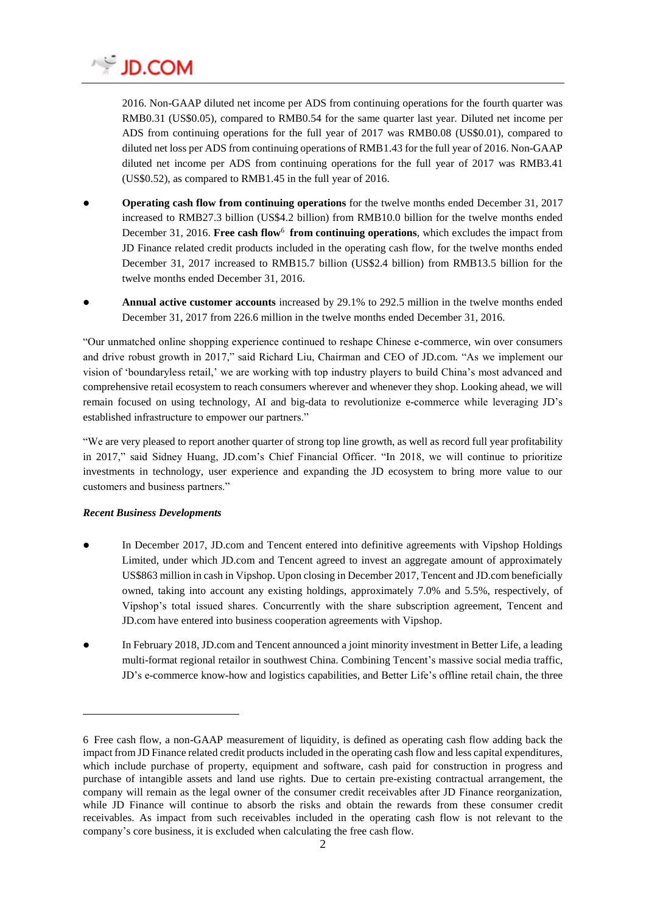

2016. Non-GAAP diluted net income per ADS from continuing operations for the fourth quarter was RMB0.31 (US\$0.05), compared to RMB0.54 for the same quarter last year. Diluted net income per ADS from continuing operations for the full year of 2017 was RMB0.08 (US\$0.01), compared to diluted net loss per ADS from continuing operations of RMB1.43 for the full year of 2016. Non-GAAP diluted net income per ADS from continuing operations for the full year of 2017 was RMB3.41 (US\$0.52), as compared to RMB1.45 in the full year of 2016.

- **Operating cash flow from continuing operations** for the twelve months ended December 31, 2017 increased to RMB27.3 billion (US\$4.2 billion) from RMB10.0 billion for the twelve months ended December 31, 2016. Free cash flow<sup>6</sup> from continuing operations, which excludes the impact from JD Finance related credit products included in the operating cash flow, for the twelve months ended December 31, 2017 increased to RMB15.7 billion (US\$2.4 billion) from RMB13.5 billion for the twelve months ended December 31, 2016.
- **Annual active customer accounts** increased by 29.1% to 292.5 million in the twelve months ended December 31, 2017 from 226.6 million in the twelve months ended December 31, 2016.

"Our unmatched online shopping experience continued to reshape Chinese e-commerce, win over consumers and drive robust growth in 2017," said Richard Liu, Chairman and CEO of JD.com. "As we implement our vision of 'boundaryless retail,' we are working with top industry players to build China's most advanced and comprehensive retail ecosystem to reach consumers wherever and whenever they shop. Looking ahead, we will remain focused on using technology, AI and big-data to revolutionize e-commerce while leveraging JD's established infrastructure to empower our partners."

"We are very pleased to report another quarter of strong top line growth, as well as record full year profitability in 2017," said Sidney Huang, JD.com's Chief Financial Officer. "In 2018, we will continue to prioritize investments in technology, user experience and expanding the JD ecosystem to bring more value to our customers and business partners."

#### *Recent Business Developments*

 $\overline{\phantom{a}}$ 

- In December 2017, JD.com and Tencent entered into definitive agreements with Vipshop Holdings Limited, under which JD.com and Tencent agreed to invest an aggregate amount of approximately US\$863 million in cash in Vipshop. Upon closing in December 2017, Tencent and JD.com beneficially owned, taking into account any existing holdings, approximately 7.0% and 5.5%, respectively, of Vipshop's total issued shares. Concurrently with the share subscription agreement, Tencent and JD.com have entered into business cooperation agreements with Vipshop.
- In February 2018, [JD.com](http://jd.com/) and Tencent announced a joint minority investment in Better Life, a leading multi-format regional retailor in southwest China. Combining Tencent's massive social media traffic, JD's e-commerce know-how and logistics capabilities, and Better Life's offline retail chain, the three

<sup>6</sup> Free cash flow, a non-GAAP measurement of liquidity, is defined as operating cash flow adding back the impact from JD Finance related credit products included in the operating cash flow and less capital expenditures, which include purchase of property, equipment and software, cash paid for construction in progress and purchase of intangible assets and land use rights. Due to certain pre-existing contractual arrangement, the company will remain as the legal owner of the consumer credit receivables after JD Finance reorganization, while JD Finance will continue to absorb the risks and obtain the rewards from these consumer credit receivables. As impact from such receivables included in the operating cash flow is not relevant to the company's core business, it is excluded when calculating the free cash flow.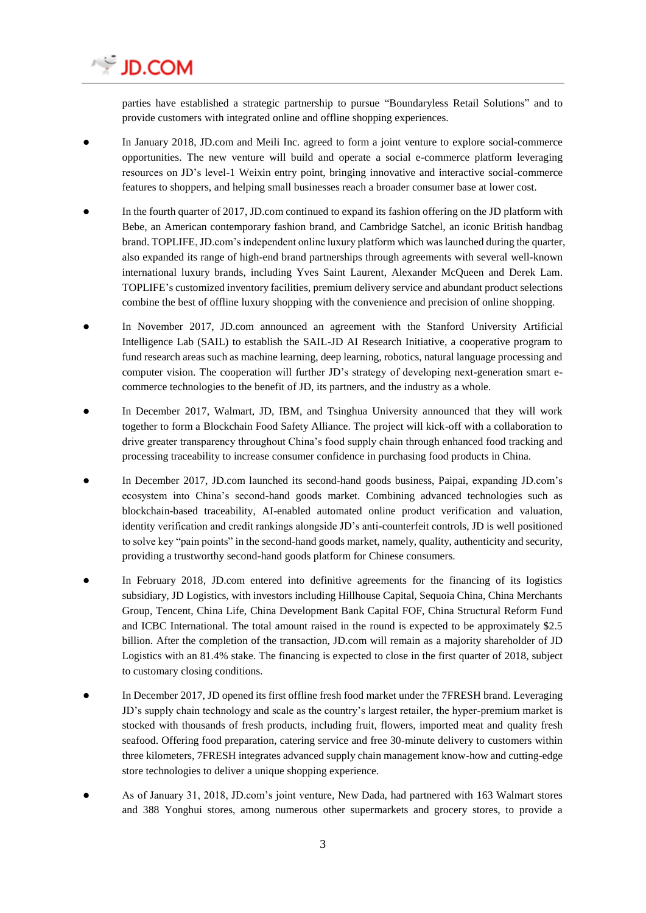# JD.COM

parties have established a strategic partnership to pursue "Boundaryless Retail Solutions" and to provide customers with integrated online and offline shopping experiences.

- In January 2018, JD.com and Meili Inc. agreed to form a joint venture to explore social-commerce opportunities. The new venture will build and operate a social e-commerce platform leveraging resources on JD's level-1 Weixin entry point, bringing innovative and interactive social-commerce features to shoppers, and helping small businesses reach a broader consumer base at lower cost.
- In the fourth quarter of 2017, JD.com continued to expand its fashion offering on the JD platform with Bebe, an American contemporary fashion brand, and Cambridge Satchel, an iconic British handbag brand. TOPLIFE, JD.com's independent online luxury platform which was launched during the quarter, also expanded its range of high-end brand partnerships through agreements with several well-known international luxury brands, including Yves Saint Laurent, Alexander McQueen and Derek Lam. TOPLIFE's customized inventory facilities, premium delivery service and abundant product selections combine the best of offline luxury shopping with the convenience and precision of online shopping.
- In November 2017, JD.com announced an agreement with the Stanford University Artificial Intelligence Lab (SAIL) to establish the SAIL-JD AI Research Initiative, a cooperative program to fund research areas such as machine learning, deep learning, robotics, natural language processing and computer vision. The cooperation will further JD's strategy of developing next-generation smart ecommerce technologies to the benefit of JD, its partners, and the industry as a whole.
- In December 2017, Walmart, JD, IBM, and Tsinghua University announced that they will work together to form a Blockchain Food Safety Alliance. The project will kick-off with a collaboration to drive greater transparency throughout China's food supply chain through enhanced food tracking and processing traceability to increase consumer confidence in purchasing food products in China.
- In December 2017, JD.com launched its second-hand goods business, Paipai, expanding JD.com's ecosystem into China's second-hand goods market. Combining advanced technologies such as blockchain-based traceability, AI-enabled automated online product verification and valuation, identity verification and credit rankings alongside JD's anti-counterfeit controls, JD is well positioned to solve key "pain points" in the second-hand goods market, namely, quality, authenticity and security, providing a trustworthy second-hand goods platform for Chinese consumers.
- In February 2018, JD.com entered into definitive agreements for the financing of its logistics subsidiary, JD Logistics, with investors including Hillhouse Capital, Sequoia China, China Merchants Group, Tencent, China Life, China Development Bank Capital FOF, China Structural Reform Fund and ICBC International. The total amount raised in the round is expected to be approximately \$2.5 billion. After the completion of the transaction, JD.com will remain as a majority shareholder of JD Logistics with an 81.4% stake. The financing is expected to close in the first quarter of 2018, subject to customary closing conditions.
- In December 2017, JD opened its first offline fresh food market under the 7FRESH brand. Leveraging JD's supply chain technology and scale as the country's largest retailer, the hyper-premium market is stocked with thousands of fresh products, including fruit, flowers, imported meat and quality fresh seafood. Offering food preparation, catering service and free 30-minute delivery to customers within three kilometers, 7FRESH integrates advanced supply chain management know-how and cutting-edge store technologies to deliver a unique shopping experience.
- As of January 31, 2018, JD.com's joint venture, New Dada, had partnered with 163 Walmart stores and 388 Yonghui stores, among numerous other supermarkets and grocery stores, to provide a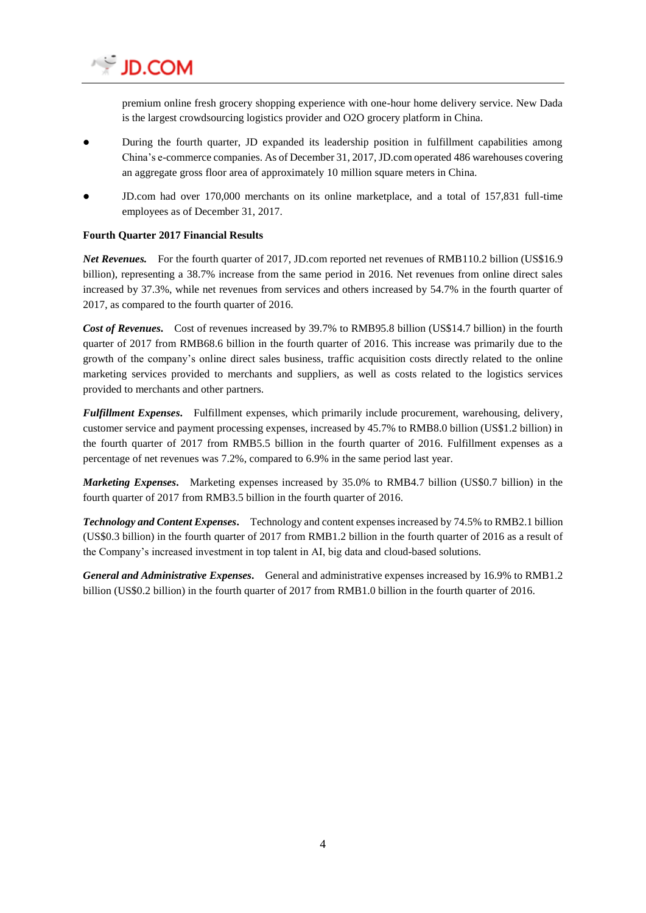

premium online fresh grocery shopping experience with one-hour home delivery service. New Dada is the largest crowdsourcing logistics provider and O2O grocery platform in China.

- During the fourth quarter, JD expanded its leadership position in fulfillment capabilities among China's e-commerce companies. As of December 31, 2017, JD.com operated 486 warehouses covering an aggregate gross floor area of approximately 10 million square meters in China.
- JD.com had over 170,000 merchants on its online marketplace, and a total of 157,831 full-time employees as of December 31, 2017.

#### **Fourth Quarter 2017 Financial Results**

*Net Revenues.* For the fourth quarter of 2017, JD.com reported net revenues of RMB110.2 billion (US\$16.9) billion), representing a 38.7% increase from the same period in 2016. Net revenues from online direct sales increased by 37.3%, while net revenues from services and others increased by 54.7% in the fourth quarter of 2017, as compared to the fourth quarter of 2016.

*Cost of Revenues***.** Cost of revenues increased by 39.7% to RMB95.8 billion (US\$14.7 billion) in the fourth quarter of 2017 from RMB68.6 billion in the fourth quarter of 2016. This increase was primarily due to the growth of the company's online direct sales business, traffic acquisition costs directly related to the online marketing services provided to merchants and suppliers, as well as costs related to the logistics services provided to merchants and other partners.

*Fulfillment Expenses***.** Fulfillment expenses, which primarily include procurement, warehousing, delivery, customer service and payment processing expenses, increased by 45.7% to RMB8.0 billion (US\$1.2 billion) in the fourth quarter of 2017 from RMB5.5 billion in the fourth quarter of 2016. Fulfillment expenses as a percentage of net revenues was 7.2%, compared to 6.9% in the same period last year.

*Marketing Expenses***.** Marketing expenses increased by 35.0% to RMB4.7 billion (US\$0.7 billion) in the fourth quarter of 2017 from RMB3.5 billion in the fourth quarter of 2016.

*Technology and Content Expenses***.** Technology and content expenses increased by 74.5% to RMB2.1 billion (US\$0.3 billion) in the fourth quarter of 2017 from RMB1.2 billion in the fourth quarter of 2016 as a result of the Company's increased investment in top talent in AI, big data and cloud-based solutions.

*General and Administrative Expenses***.** General and administrative expenses increased by 16.9% to RMB1.2 billion (US\$0.2 billion) in the fourth quarter of 2017 from RMB1.0 billion in the fourth quarter of 2016.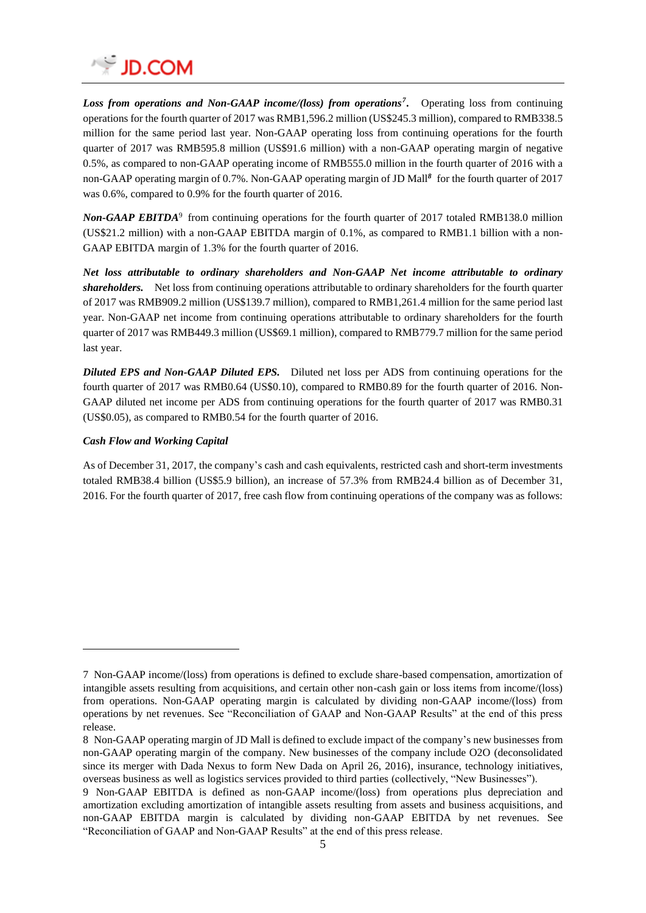# **JD.COM**

*Loss from operations and Non-GAAP income/(loss) from operations<sup>7</sup> .* Operating loss from continuing operations for the fourth quarter of 2017 was RMB1,596.2 million (US\$245.3 million), compared to RMB338.5 million for the same period last year. Non-GAAP operating loss from continuing operations for the fourth quarter of 2017 was RMB595.8 million (US\$91.6 million) with a non-GAAP operating margin of negative 0.5%, as compared to non-GAAP operating income of RMB555.0 million in the fourth quarter of 2016 with a non-GAAP operating margin of 0.7%. Non-GAAP operating margin of JD Mall*<sup>8</sup>* for the fourth quarter of 2017 was 0.6%, compared to 0.9% for the fourth quarter of 2016.

Non-GAAP EBITDA<sup>9</sup> from continuing operations for the fourth quarter of 2017 totaled RMB138.0 million (US\$21.2 million) with a non-GAAP EBITDA margin of 0.1%, as compared to RMB1.1 billion with a non-GAAP EBITDA margin of 1.3% for the fourth quarter of 2016.

*Net loss attributable to ordinary shareholders and Non-GAAP Net income attributable to ordinary shareholders.* Net loss from continuing operations attributable to ordinary shareholders for the fourth quarter of 2017 was RMB909.2 million (US\$139.7 million), compared to RMB1,261.4 million for the same period last year. Non-GAAP net income from continuing operations attributable to ordinary shareholders for the fourth quarter of 2017 was RMB449.3 million (US\$69.1 million), compared to RMB779.7 million for the same period last year.

*Diluted EPS and Non-GAAP Diluted EPS.*Diluted net loss per ADS from continuing operations for the fourth quarter of 2017 was RMB0.64 (US\$0.10), compared to RMB0.89 for the fourth quarter of 2016. Non-GAAP diluted net income per ADS from continuing operations for the fourth quarter of 2017 was RMB0.31 (US\$0.05), as compared to RMB0.54 for the fourth quarter of 2016.

### *Cash Flow and Working Capital*

 $\overline{\phantom{a}}$ 

As of December 31, 2017, the company's cash and cash equivalents, restricted cash and short-term investments totaled RMB38.4 billion (US\$5.9 billion), an increase of 57.3% from RMB24.4 billion as of December 31, 2016. For the fourth quarter of 2017, free cash flow from continuing operations of the company was as follows:

<sup>7</sup> Non-GAAP income/(loss) from operations is defined to exclude share-based compensation, amortization of intangible assets resulting from acquisitions, and certain other non-cash gain or loss items from income/(loss) from operations. Non-GAAP operating margin is calculated by dividing non-GAAP income/(loss) from operations by net revenues. See "Reconciliation of GAAP and Non-GAAP Results" at the end of this press release.

<sup>8</sup> Non-GAAP operating margin of JD Mall is defined to exclude impact of the company's new businesses from non-GAAP operating margin of the company. New businesses of the company include O2O (deconsolidated since its merger with Dada Nexus to form New Dada on April 26, 2016), insurance, technology initiatives, overseas business as well as logistics services provided to third parties (collectively, "New Businesses").

<sup>9</sup> Non-GAAP EBITDA is defined as non-GAAP income/(loss) from operations plus depreciation and amortization excluding amortization of intangible assets resulting from assets and business acquisitions, and non-GAAP EBITDA margin is calculated by dividing non-GAAP EBITDA by net revenues. See "Reconciliation of GAAP and Non-GAAP Results" at the end of this press release.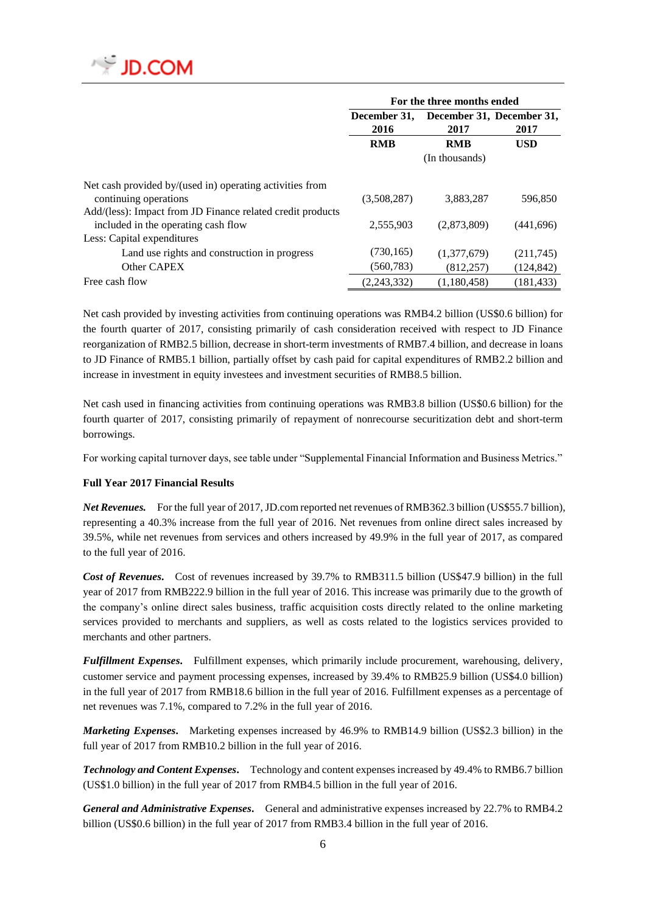

|                                                                                                   | For the three months ended |                                   |            |  |  |
|---------------------------------------------------------------------------------------------------|----------------------------|-----------------------------------|------------|--|--|
|                                                                                                   | December 31,<br>2016       | December 31, December 31,<br>2017 | 2017       |  |  |
|                                                                                                   | <b>RMB</b>                 | <b>RMB</b>                        | <b>USD</b> |  |  |
|                                                                                                   |                            | (In thousands)                    |            |  |  |
| Net cash provided by/(used in) operating activities from<br>continuing operations                 | (3,508,287)                | 3,883,287                         | 596,850    |  |  |
| Add/(less): Impact from JD Finance related credit products<br>included in the operating cash flow | 2,555,903                  | (2,873,809)                       | (441,696)  |  |  |
| Less: Capital expenditures                                                                        |                            |                                   |            |  |  |
| Land use rights and construction in progress                                                      | (730, 165)                 | (1,377,679)                       | (211,745)  |  |  |
| Other CAPEX                                                                                       | (560, 783)                 | (812, 257)                        | (124, 842) |  |  |
| Free cash flow                                                                                    | (2.243.332)                | (1.180.458)                       | (181.433)  |  |  |

Net cash provided by investing activities from continuing operations was RMB4.2 billion (US\$0.6 billion) for the fourth quarter of 2017, consisting primarily of cash consideration received with respect to JD Finance reorganization of RMB2.5 billion, decrease in short-term investments of RMB7.4 billion, and decrease in loans to JD Finance of RMB5.1 billion, partially offset by cash paid for capital expenditures of RMB2.2 billion and increase in investment in equity investees and investment securities of RMB8.5 billion.

Net cash used in financing activities from continuing operations was RMB3.8 billion (US\$0.6 billion) for the fourth quarter of 2017, consisting primarily of repayment of nonrecourse securitization debt and short-term borrowings.

For working capital turnover days, see table under "Supplemental Financial Information and Business Metrics."

#### **Full Year 2017 Financial Results**

*Net Revenues.* For the full year of 2017, JD.com reported net revenues of RMB362.3 billion (US\$55.7 billion), representing a 40.3% increase from the full year of 2016. Net revenues from online direct sales increased by 39.5%, while net revenues from services and others increased by 49.9% in the full year of 2017, as compared to the full year of 2016.

*Cost of Revenues***.** Cost of revenues increased by 39.7% to RMB311.5 billion (US\$47.9 billion) in the full year of 2017 from RMB222.9 billion in the full year of 2016. This increase was primarily due to the growth of the company's online direct sales business, traffic acquisition costs directly related to the online marketing services provided to merchants and suppliers, as well as costs related to the logistics services provided to merchants and other partners.

*Fulfillment Expenses***.** Fulfillment expenses, which primarily include procurement, warehousing, delivery, customer service and payment processing expenses, increased by 39.4% to RMB25.9 billion (US\$4.0 billion) in the full year of 2017 from RMB18.6 billion in the full year of 2016. Fulfillment expenses as a percentage of net revenues was 7.1%, compared to 7.2% in the full year of 2016.

*Marketing Expenses***.** Marketing expenses increased by 46.9% to RMB14.9 billion (US\$2.3 billion) in the full year of 2017 from RMB10.2 billion in the full year of 2016.

*Technology and Content Expenses***.** Technology and content expenses increased by 49.4% to RMB6.7 billion (US\$1.0 billion) in the full year of 2017 from RMB4.5 billion in the full year of 2016.

*General and Administrative Expenses***.** General and administrative expenses increased by 22.7% to RMB4.2 billion (US\$0.6 billion) in the full year of 2017 from RMB3.4 billion in the full year of 2016.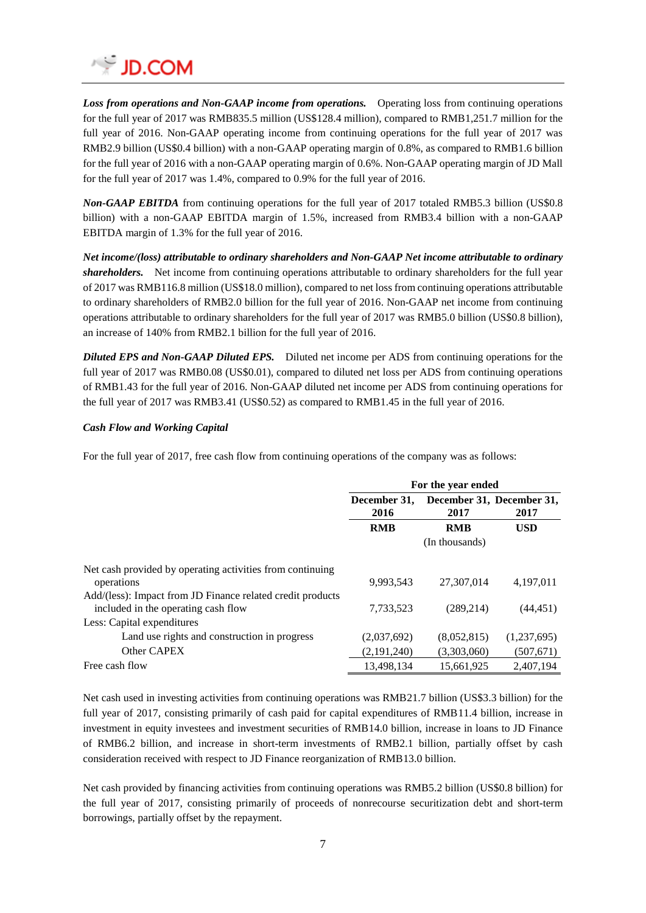

*Loss from operations and Non-GAAP income from operations.* Operating loss from continuing operations for the full year of 2017 was RMB835.5 million (US\$128.4 million), compared to RMB1,251.7 million for the full year of 2016. Non-GAAP operating income from continuing operations for the full year of 2017 was RMB2.9 billion (US\$0.4 billion) with a non-GAAP operating margin of 0.8%, as compared to RMB1.6 billion for the full year of 2016 with a non-GAAP operating margin of 0.6%. Non-GAAP operating margin of JD Mall for the full year of 2017 was 1.4%, compared to 0.9% for the full year of 2016.

*Non-GAAP EBITDA* from continuing operations for the full year of 2017 totaled RMB5.3 billion (US\$0.8 billion) with a non-GAAP EBITDA margin of 1.5%, increased from RMB3.4 billion with a non-GAAP EBITDA margin of 1.3% for the full year of 2016.

*Net income/(loss) attributable to ordinary shareholders and Non-GAAP Net income attributable to ordinary shareholders.* Net income from continuing operations attributable to ordinary shareholders for the full year of 2017 was RMB116.8 million (US\$18.0 million), compared to net loss from continuing operations attributable to ordinary shareholders of RMB2.0 billion for the full year of 2016. Non-GAAP net income from continuing operations attributable to ordinary shareholders for the full year of 2017 was RMB5.0 billion (US\$0.8 billion), an increase of 140% from RMB2.1 billion for the full year of 2016.

*Diluted EPS and Non-GAAP Diluted EPS.*Diluted net income per ADS from continuing operations for the full year of 2017 was RMB0.08 (US\$0.01), compared to diluted net loss per ADS from continuing operations of RMB1.43 for the full year of 2016. Non-GAAP diluted net income per ADS from continuing operations for the full year of 2017 was RMB3.41 (US\$0.52) as compared to RMB1.45 in the full year of 2016.

#### *Cash Flow and Working Capital*

For the full year of 2017, free cash flow from continuing operations of the company was as follows:

|                                                                                                   | For the year ended   |                                   |             |  |
|---------------------------------------------------------------------------------------------------|----------------------|-----------------------------------|-------------|--|
|                                                                                                   | December 31.<br>2016 | December 31, December 31,<br>2017 | 2017        |  |
|                                                                                                   | <b>RMB</b>           | <b>RMB</b>                        | <b>USD</b>  |  |
|                                                                                                   |                      | (In thousands)                    |             |  |
| Net cash provided by operating activities from continuing<br>operations                           | 9.993.543            | 27,307,014                        | 4.197.011   |  |
| Add/(less): Impact from JD Finance related credit products<br>included in the operating cash flow | 7,733,523            | (289,214)                         | (44, 451)   |  |
| Less: Capital expenditures                                                                        |                      |                                   |             |  |
| Land use rights and construction in progress                                                      | (2,037,692)          | (8,052,815)                       | (1,237,695) |  |
| Other CAPEX                                                                                       | (2,191,240)          | (3,303,060)                       | (507,671)   |  |
| Free cash flow                                                                                    | 13.498.134           | 15.661.925                        | 2.407.194   |  |

Net cash used in investing activities from continuing operations was RMB21.7 billion (US\$3.3 billion) for the full year of 2017, consisting primarily of cash paid for capital expenditures of RMB11.4 billion, increase in investment in equity investees and investment securities of RMB14.0 billion, increase in loans to JD Finance of RMB6.2 billion, and increase in short-term investments of RMB2.1 billion, partially offset by cash consideration received with respect to JD Finance reorganization of RMB13.0 billion.

Net cash provided by financing activities from continuing operations was RMB5.2 billion (US\$0.8 billion) for the full year of 2017, consisting primarily of proceeds of nonrecourse securitization debt and short-term borrowings, partially offset by the repayment.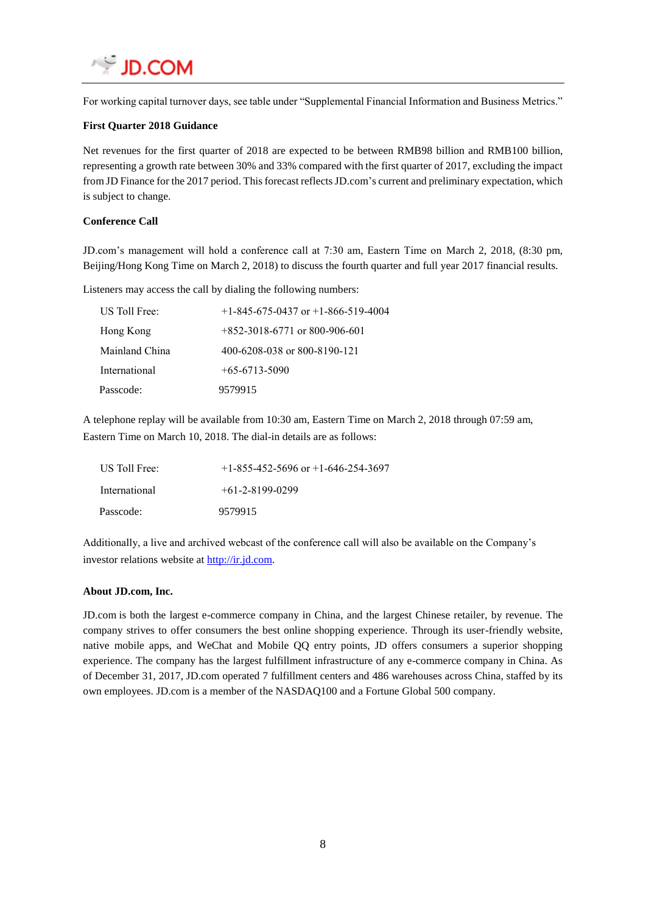# **JD.COM**

For working capital turnover days, see table under "Supplemental Financial Information and Business Metrics."

### **First Quarter 2018 Guidance**

Net revenues for the first quarter of 2018 are expected to be between RMB98 billion and RMB100 billion, representing a growth rate between 30% and 33% compared with the first quarter of 2017, excluding the impact from JD Finance for the 2017 period. This forecast reflects JD.com's current and preliminary expectation, which is subject to change.

### **Conference Call**

JD.com's management will hold a conference call at 7:30 am, Eastern Time on March 2, 2018, (8:30 pm, Beijing/Hong Kong Time on March 2, 2018) to discuss the fourth quarter and full year 2017 financial results.

Listeners may access the call by dialing the following numbers:

| US Toll Free:  | $+1-845-675-0437$ or $+1-866-519-4004$ |
|----------------|----------------------------------------|
| Hong Kong      | $+852-3018-6771$ or 800-906-601        |
| Mainland China | 400-6208-038 or 800-8190-121           |
| International  | $+65-6713-5090$                        |
| Passcode:      | 9579915                                |

A telephone replay will be available from 10:30 am, Eastern Time on March 2, 2018 through 07:59 am, Eastern Time on March 10, 2018. The dial-in details are as follows:

| US Toll Free: | $+1-855-452-5696$ or $+1-646-254-3697$ |
|---------------|----------------------------------------|
| International | $+61 - 2 - 8199 - 0299$                |
| Passcode:     | 9579915                                |

Additionally, a live and archived webcast of the conference call will also be available on the Company's investor relations website at [http://ir.jd.com.](http://ir.jd.com/)

#### **About JD.com, Inc.**

[JD.com](http://jd.com/) is both the largest e-commerce company in China, and the largest Chinese retailer, by revenue. The company strives to offer consumers the best online shopping experience. Through its user-friendly website, native mobile apps, and WeChat and Mobile QQ entry points, JD offers consumers a superior shopping experience. The company has the largest fulfillment infrastructure of any e-commerce company in China. As of December 31, 2017, [JD.com](http://jd.com/) operated 7 fulfillment centers and 486 warehouses across China, staffed by its own employees. [JD.com](http://jd.com/) is a member of the NASDAQ100 and a Fortune Global 500 company.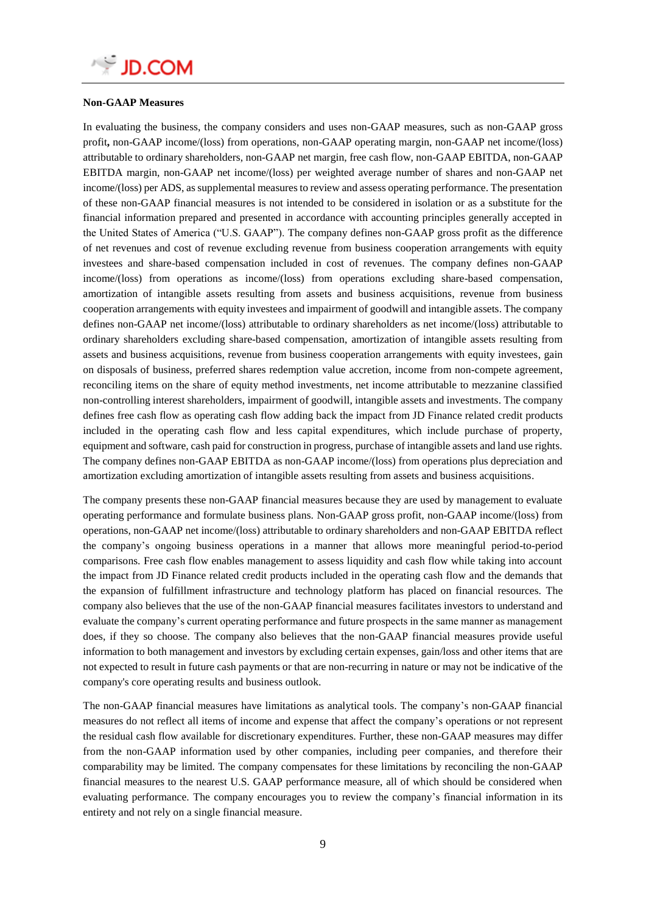# **JD.COM**

#### **Non-GAAP Measures**

In evaluating the business, the company considers and uses non-GAAP measures, such as non-GAAP gross profit**,** non-GAAP income/(loss) from operations, non-GAAP operating margin, non-GAAP net income/(loss) attributable to ordinary shareholders, non-GAAP net margin, free cash flow, non-GAAP EBITDA, non-GAAP EBITDA margin, non-GAAP net income/(loss) per weighted average number of shares and non-GAAP net income/(loss) per ADS, as supplemental measures to review and assess operating performance. The presentation of these non-GAAP financial measures is not intended to be considered in isolation or as a substitute for the financial information prepared and presented in accordance with accounting principles generally accepted in the United States of America ("U.S. GAAP"). The company defines non-GAAP gross profit as the difference of net revenues and cost of revenue excluding revenue from business cooperation arrangements with equity investees and share-based compensation included in cost of revenues. The company defines non-GAAP income/(loss) from operations as income/(loss) from operations excluding share-based compensation, amortization of intangible assets resulting from assets and business acquisitions, revenue from business cooperation arrangements with equity investees and impairment of goodwill and intangible assets. The company defines non-GAAP net income/(loss) attributable to ordinary shareholders as net income/(loss) attributable to ordinary shareholders excluding share-based compensation, amortization of intangible assets resulting from assets and business acquisitions, revenue from business cooperation arrangements with equity investees, gain on disposals of business, preferred shares redemption value accretion, income from non-compete agreement, reconciling items on the share of equity method investments, net income attributable to mezzanine classified non-controlling interest shareholders, impairment of goodwill, intangible assets and investments. The company defines free cash flow as operating cash flow adding back the impact from JD Finance related credit products included in the operating cash flow and less capital expenditures, which include purchase of property, equipment and software, cash paid for construction in progress, purchase of intangible assets and land use rights. The company defines non-GAAP EBITDA as non-GAAP income/(loss) from operations plus depreciation and amortization excluding amortization of intangible assets resulting from assets and business acquisitions.

The company presents these non-GAAP financial measures because they are used by management to evaluate operating performance and formulate business plans. Non-GAAP gross profit, non-GAAP income/(loss) from operations, non-GAAP net income/(loss) attributable to ordinary shareholders and non-GAAP EBITDA reflect the company's ongoing business operations in a manner that allows more meaningful period-to-period comparisons. Free cash flow enables management to assess liquidity and cash flow while taking into account the impact from JD Finance related credit products included in the operating cash flow and the demands that the expansion of fulfillment infrastructure and technology platform has placed on financial resources. The company also believes that the use of the non-GAAP financial measures facilitates investors to understand and evaluate the company's current operating performance and future prospects in the same manner as management does, if they so choose. The company also believes that the non-GAAP financial measures provide useful information to both management and investors by excluding certain expenses, gain/loss and other items that are not expected to result in future cash payments or that are non-recurring in nature or may not be indicative of the company's core operating results and business outlook.

The non-GAAP financial measures have limitations as analytical tools. The company's non-GAAP financial measures do not reflect all items of income and expense that affect the company's operations or not represent the residual cash flow available for discretionary expenditures. Further, these non-GAAP measures may differ from the non-GAAP information used by other companies, including peer companies, and therefore their comparability may be limited. The company compensates for these limitations by reconciling the non-GAAP financial measures to the nearest U.S. GAAP performance measure, all of which should be considered when evaluating performance. The company encourages you to review the company's financial information in its entirety and not rely on a single financial measure.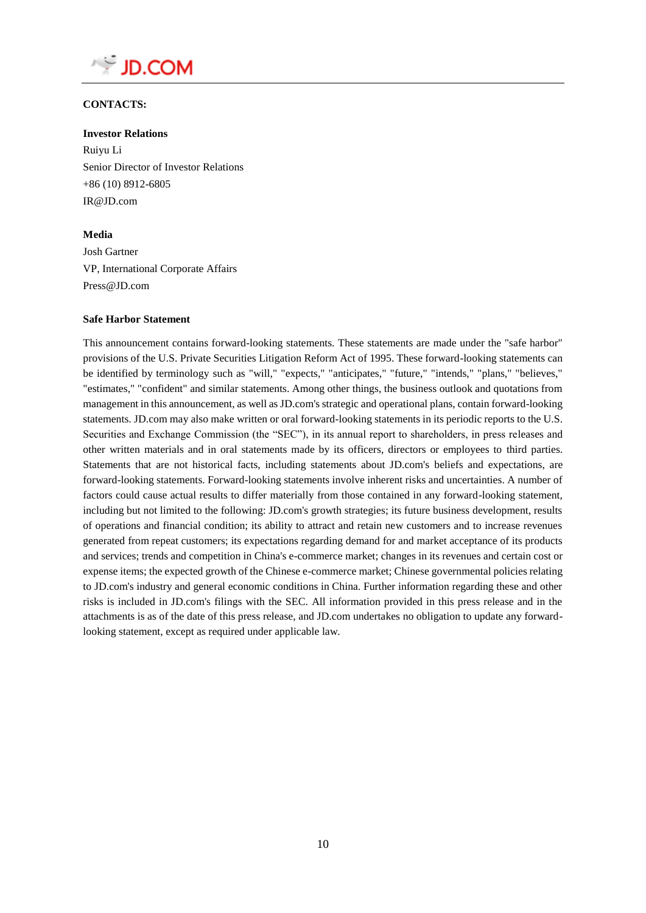

#### **CONTACTS:**

#### **Investor Relations**

Ruiyu Li Senior Director of Investor Relations +86 (10) 8912-6805 IR@JD.com

#### **Media**

Josh Gartner VP, International Corporate Affairs Press@JD.com

#### **Safe Harbor Statement**

This announcement contains forward-looking statements. These statements are made under the "safe harbor" provisions of the U.S. Private Securities Litigation Reform Act of 1995. These forward-looking statements can be identified by terminology such as "will," "expects," "anticipates," "future," "intends," "plans," "believes," "estimates," "confident" and similar statements. Among other things, the business outlook and quotations from management in this announcement, as well as JD.com's strategic and operational plans, contain forward-looking statements. JD.com may also make written or oral forward-looking statements in its periodic reports to the U.S. Securities and Exchange Commission (the "SEC"), in its annual report to shareholders, in press releases and other written materials and in oral statements made by its officers, directors or employees to third parties. Statements that are not historical facts, including statements about JD.com's beliefs and expectations, are forward-looking statements. Forward-looking statements involve inherent risks and uncertainties. A number of factors could cause actual results to differ materially from those contained in any forward-looking statement, including but not limited to the following: JD.com's growth strategies; its future business development, results of operations and financial condition; its ability to attract and retain new customers and to increase revenues generated from repeat customers; its expectations regarding demand for and market acceptance of its products and services; trends and competition in China's e-commerce market; changes in its revenues and certain cost or expense items; the expected growth of the Chinese e-commerce market; Chinese governmental policies relating to JD.com's industry and general economic conditions in China. Further information regarding these and other risks is included in JD.com's filings with the SEC. All information provided in this press release and in the attachments is as of the date of this press release, and JD.com undertakes no obligation to update any forwardlooking statement, except as required under applicable law.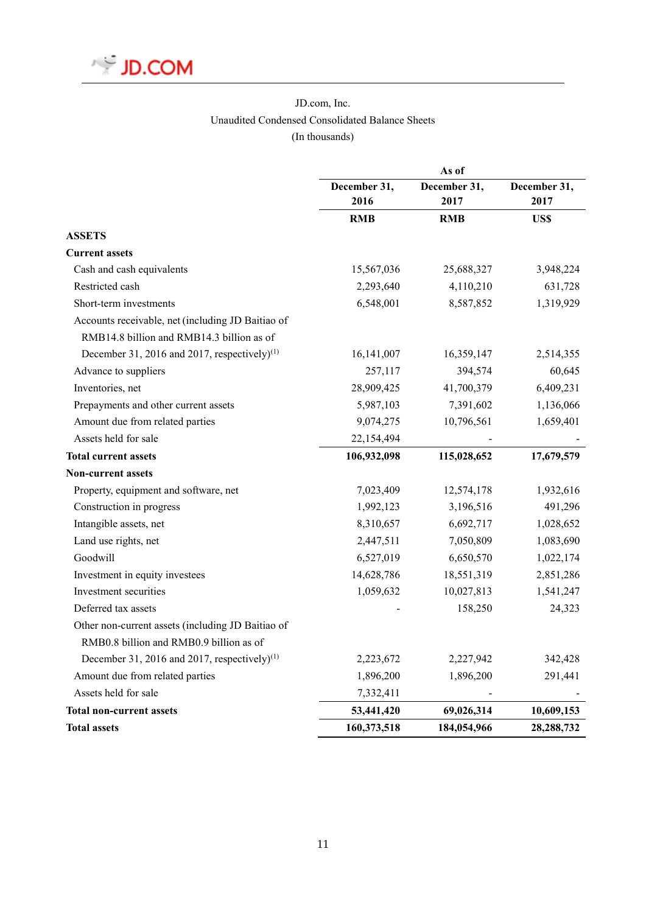

# JD.com, Inc. Unaudited Condensed Consolidated Balance Sheets

(In thousands)

|                                                    |              | As of        |              |
|----------------------------------------------------|--------------|--------------|--------------|
|                                                    | December 31, | December 31, | December 31, |
|                                                    | 2016         | 2017         | 2017         |
|                                                    | <b>RMB</b>   | <b>RMB</b>   | US\$         |
| <b>ASSETS</b>                                      |              |              |              |
| <b>Current assets</b>                              |              |              |              |
| Cash and cash equivalents                          | 15,567,036   | 25,688,327   | 3,948,224    |
| Restricted cash                                    | 2,293,640    | 4,110,210    | 631,728      |
| Short-term investments                             | 6,548,001    | 8,587,852    | 1,319,929    |
| Accounts receivable, net (including JD Baitiao of  |              |              |              |
| RMB14.8 billion and RMB14.3 billion as of          |              |              |              |
| December 31, 2016 and 2017, respectively $)^{(1)}$ | 16, 141, 007 | 16,359,147   | 2,514,355    |
| Advance to suppliers                               | 257,117      | 394,574      | 60,645       |
| Inventories, net                                   | 28,909,425   | 41,700,379   | 6,409,231    |
| Prepayments and other current assets               | 5,987,103    | 7,391,602    | 1,136,066    |
| Amount due from related parties                    | 9,074,275    | 10,796,561   | 1,659,401    |
| Assets held for sale                               | 22,154,494   |              |              |
| <b>Total current assets</b>                        | 106,932,098  | 115,028,652  | 17,679,579   |
| <b>Non-current assets</b>                          |              |              |              |
| Property, equipment and software, net              | 7,023,409    | 12,574,178   | 1,932,616    |
| Construction in progress                           | 1,992,123    | 3,196,516    | 491,296      |
| Intangible assets, net                             | 8,310,657    | 6,692,717    | 1,028,652    |
| Land use rights, net                               | 2,447,511    | 7,050,809    | 1,083,690    |
| Goodwill                                           | 6,527,019    | 6,650,570    | 1,022,174    |
| Investment in equity investees                     | 14,628,786   | 18,551,319   | 2,851,286    |
| Investment securities                              | 1,059,632    | 10,027,813   | 1,541,247    |
| Deferred tax assets                                |              | 158,250      | 24,323       |
| Other non-current assets (including JD Baitiao of  |              |              |              |
| RMB0.8 billion and RMB0.9 billion as of            |              |              |              |
| December 31, 2016 and 2017, respectively $(1)$     | 2,223,672    | 2,227,942    | 342,428      |
| Amount due from related parties                    | 1,896,200    | 1,896,200    | 291,441      |
| Assets held for sale                               | 7,332,411    |              |              |
| <b>Total non-current assets</b>                    | 53,441,420   | 69,026,314   | 10,609,153   |
| <b>Total assets</b>                                | 160,373,518  | 184,054,966  | 28, 288, 732 |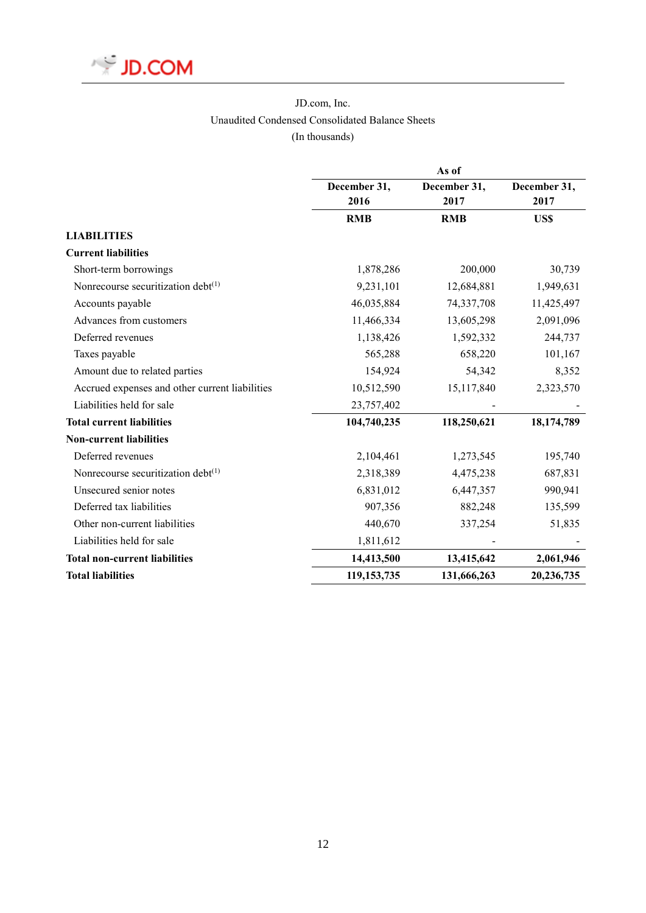

# JD.com, Inc. Unaudited Condensed Consolidated Balance Sheets (In thousands)

| December 31,<br>December 31,<br>2017<br>US\$ |
|----------------------------------------------|
|                                              |
|                                              |
|                                              |
|                                              |
|                                              |
| 200,000<br>30,739                            |
| 12,684,881<br>1,949,631                      |
| 11,425,497<br>74,337,708                     |
| 13,605,298<br>2,091,096                      |
| 244,737<br>1,592,332                         |
| 658,220<br>101,167                           |
| 54,342<br>8,352                              |
| 15,117,840<br>2,323,570                      |
|                                              |
| 118,250,621<br>18,174,789                    |
|                                              |
| 1,273,545<br>195,740                         |
| 4,475,238<br>687,831                         |
| 6,447,357<br>990,941                         |
| 135,599<br>882,248                           |
| 337,254<br>51,835                            |
|                                              |
| 13,415,642<br>2,061,946                      |
| 131,666,263<br>20,236,735                    |
|                                              |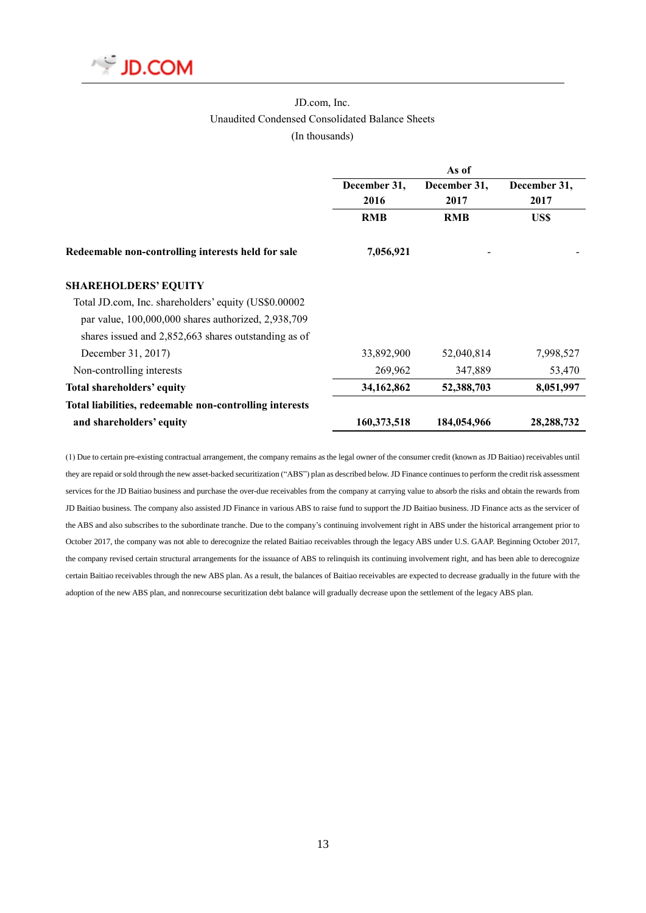

## JD.com, Inc. Unaudited Condensed Consolidated Balance Sheets (In thousands)

|                                                         | As of                |                      |                      |  |
|---------------------------------------------------------|----------------------|----------------------|----------------------|--|
|                                                         | December 31,<br>2016 | December 31,<br>2017 | December 31,<br>2017 |  |
|                                                         | <b>RMB</b>           | <b>RMB</b>           | US\$                 |  |
| Redeemable non-controlling interests held for sale      | 7,056,921            |                      |                      |  |
| <b>SHAREHOLDERS' EQUITY</b>                             |                      |                      |                      |  |
| Total JD.com, Inc. shareholders' equity (US\$0.00002    |                      |                      |                      |  |
| par value, $100,000,000$ shares authorized, $2,938,709$ |                      |                      |                      |  |
| shares issued and 2,852,663 shares outstanding as of    |                      |                      |                      |  |
| December 31, 2017)                                      | 33,892,900           | 52,040,814           | 7,998,527            |  |
| Non-controlling interests                               | 269,962              | 347,889              | 53,470               |  |
| Total shareholders' equity                              | 34,162,862           | 52,388,703           | 8,051,997            |  |
| Total liabilities, redeemable non-controlling interests |                      |                      |                      |  |
| and shareholders' equity                                | 160,373,518          | 184,054,966          | 28, 288, 732         |  |

(1) Due to certain pre-existing contractual arrangement, the company remains as the legal owner of the consumer credit (known as JD Baitiao) receivables until they are repaid or sold through the new asset-backed securitization ("ABS") plan as described below. JD Finance continues to perform the credit risk assessment services for the JD Baitiao business and purchase the over-due receivables from the company at carrying value to absorb the risks and obtain the rewards from JD Baitiao business. The company also assisted JD Finance in various ABS to raise fund to support the JD Baitiao business. JD Finance acts as the servicer of the ABS and also subscribes to the subordinate tranche. Due to the company's continuing involvement right in ABS under the historical arrangement prior to October 2017, the company was not able to derecognize the related Baitiao receivables through the legacy ABS under U.S. GAAP. Beginning October 2017, the company revised certain structural arrangements for the issuance of ABS to relinquish its continuing involvement right, and has been able to derecognize certain Baitiao receivables through the new ABS plan. As a result, the balances of Baitiao receivables are expected to decrease gradually in the future with the adoption of the new ABS plan, and nonrecourse securitization debt balance will gradually decrease upon the settlement of the legacy ABS plan.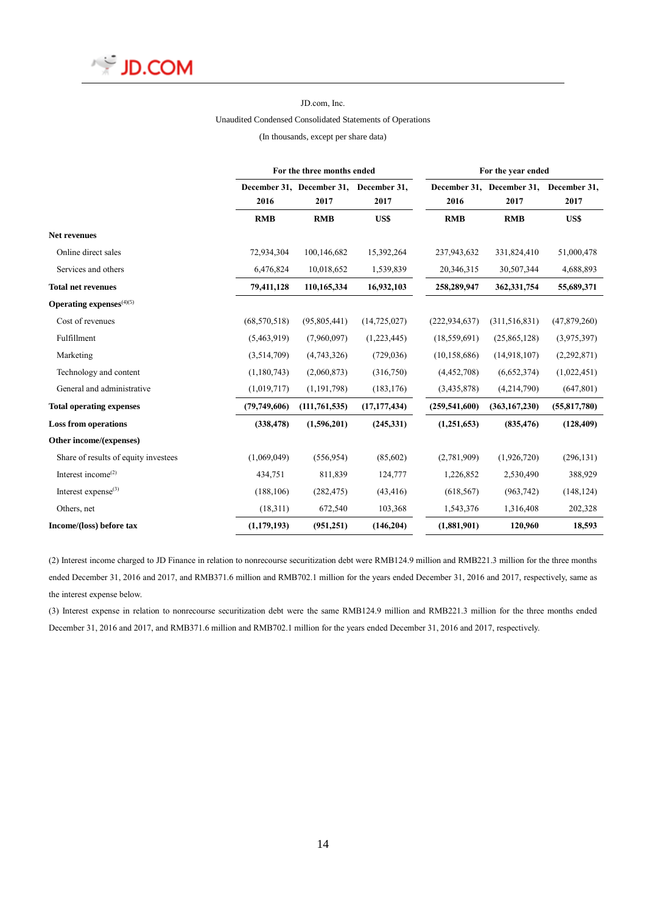

Unaudited Condensed Consolidated Statements of Operations

(In thousands, except per share data)

|                                      |                | For the three months ended             |                |                 | For the year ended                     |              |  |  |
|--------------------------------------|----------------|----------------------------------------|----------------|-----------------|----------------------------------------|--------------|--|--|
|                                      |                | December 31, December 31, December 31, |                |                 | December 31, December 31, December 31, |              |  |  |
|                                      | 2016           | 2017                                   | 2017           | 2016            | 2017                                   | 2017         |  |  |
|                                      | <b>RMB</b>     | <b>RMB</b>                             | US\$           | <b>RMB</b>      | <b>RMB</b>                             | US\$         |  |  |
| <b>Net revenues</b>                  |                |                                        |                |                 |                                        |              |  |  |
| Online direct sales                  | 72,934,304     | 100,146,682                            | 15,392,264     | 237,943,632     | 331,824,410                            | 51,000,478   |  |  |
| Services and others                  | 6,476,824      | 10,018,652                             | 1,539,839      | 20,346,315      | 30,507,344                             | 4,688,893    |  |  |
| <b>Total net revenues</b>            | 79,411,128     | 110,165,334                            | 16,932,103     | 258,289,947     | 362,331,754                            | 55,689,371   |  |  |
| Operating expenses $(4)(5)$          |                |                                        |                |                 |                                        |              |  |  |
| Cost of revenues                     | (68,570,518)   | (95,805,441)                           | (14, 725, 027) | (222, 934, 637) | (311, 516, 831)                        | (47,879,260) |  |  |
| Fulfillment                          | (5,463,919)    | (7,960,097)                            | (1,223,445)    | (18, 559, 691)  | (25,865,128)                           | (3,975,397)  |  |  |
| Marketing                            | (3,514,709)    | (4,743,326)                            | (729, 036)     | (10, 158, 686)  | (14,918,107)                           | (2,292,871)  |  |  |
| Technology and content               | (1,180,743)    | (2,060,873)                            | (316,750)      | (4,452,708)     | (6,652,374)                            | (1,022,451)  |  |  |
| General and administrative           | (1,019,717)    | (1,191,798)                            | (183, 176)     | (3,435,878)     | (4,214,790)                            | (647, 801)   |  |  |
| <b>Total operating expenses</b>      | (79, 749, 606) | (111, 761, 535)                        | (17, 177, 434) | (259, 541, 600) | (363, 167, 230)                        | (55,817,780) |  |  |
| <b>Loss from operations</b>          | (338, 478)     | (1,596,201)                            | (245, 331)     | (1,251,653)     | (835, 476)                             | (128, 409)   |  |  |
| Other income/(expenses)              |                |                                        |                |                 |                                        |              |  |  |
| Share of results of equity investees | (1,069,049)    | (556, 954)                             | (85,602)       | (2,781,909)     | (1,926,720)                            | (296, 131)   |  |  |
| Interest income $^{(2)}$             | 434,751        | 811,839                                | 124,777        | 1,226,852       | 2,530,490                              | 388,929      |  |  |
| Interest expense $(3)$               | (188, 106)     | (282, 475)                             | (43, 416)      | (618, 567)      | (963, 742)                             | (148, 124)   |  |  |
| Others, net                          | (18,311)       | 672,540                                | 103,368        | 1,543,376       | 1,316,408                              | 202,328      |  |  |
| Income/(loss) before tax             | (1,179,193)    | (951, 251)                             | (146, 204)     | (1,881,901)     | 120,960                                | 18,593       |  |  |

(2) Interest income charged to JD Finance in relation to nonrecourse securitization debt were RMB124.9 million and RMB221.3 million for the three months ended December 31, 2016 and 2017, and RMB371.6 million and RMB702.1 million for the years ended December 31, 2016 and 2017, respectively, same as the interest expense below.

(3) Interest expense in relation to nonrecourse securitization debt were the same RMB124.9 million and RMB221.3 million for the three months ended December 31, 2016 and 2017, and RMB371.6 million and RMB702.1 million for the years ended December 31, 2016 and 2017, respectively.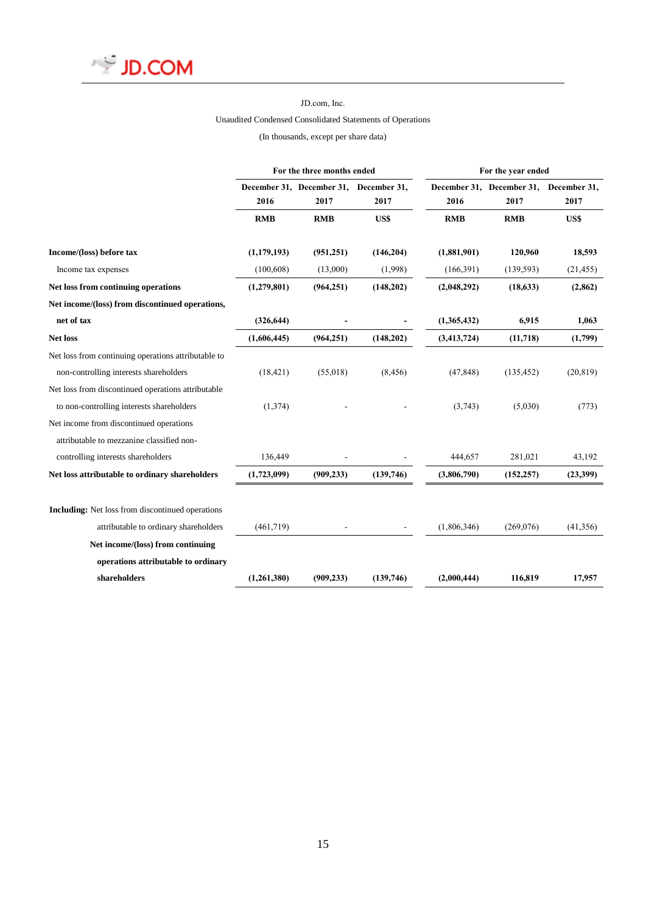

Unaudited Condensed Consolidated Statements of Operations

(In thousands, except per share data)

|                                                         |             | For the three months ended             |            | For the year ended |                           |              |  |
|---------------------------------------------------------|-------------|----------------------------------------|------------|--------------------|---------------------------|--------------|--|
|                                                         |             | December 31, December 31, December 31, |            |                    | December 31, December 31, | December 31, |  |
|                                                         | 2016        | 2017                                   | 2017       | 2016               | 2017                      | 2017         |  |
|                                                         | <b>RMB</b>  | <b>RMB</b>                             | US\$       | <b>RMB</b>         | <b>RMB</b>                | US\$         |  |
| Income/(loss) before tax                                | (1,179,193) | (951, 251)                             | (146, 204) | (1,881,901)        | 120,960                   | 18,593       |  |
| Income tax expenses                                     | (100,608)   | (13,000)                               | (1,998)    | (166,391)          | (139, 593)                | (21, 455)    |  |
| Net loss from continuing operations                     | (1,279,801) | (964, 251)                             | (148,202)  | (2,048,292)        | (18, 633)                 | (2, 862)     |  |
| Net income/(loss) from discontinued operations,         |             |                                        |            |                    |                           |              |  |
| net of tax                                              | (326, 644)  |                                        |            | (1,365,432)        | 6,915                     | 1,063        |  |
| <b>Net loss</b>                                         | (1,606,445) | (964, 251)                             | (148,202)  | (3, 413, 724)      | (11,718)                  | (1,799)      |  |
| Net loss from continuing operations attributable to     |             |                                        |            |                    |                           |              |  |
| non-controlling interests shareholders                  | (18, 421)   | (55,018)                               | (8, 456)   | (47, 848)          | (135, 452)                | (20, 819)    |  |
| Net loss from discontinued operations attributable      |             |                                        |            |                    |                           |              |  |
| to non-controlling interests shareholders               | (1, 374)    |                                        |            | (3,743)            | (5,030)                   | (773)        |  |
| Net income from discontinued operations                 |             |                                        |            |                    |                           |              |  |
| attributable to mezzanine classified non-               |             |                                        |            |                    |                           |              |  |
| controlling interests shareholders                      | 136,449     |                                        |            | 444,657            | 281,021                   | 43,192       |  |
| Net loss attributable to ordinary shareholders          | (1,723,099) | (909, 233)                             | (139,746)  | (3,806,790)        | (152, 257)                | (23,399)     |  |
| <b>Including:</b> Net loss from discontinued operations |             |                                        |            |                    |                           |              |  |
| attributable to ordinary shareholders                   | (461,719)   |                                        |            | (1,806,346)        | (269,076)                 | (41,356)     |  |
| Net income/(loss) from continuing                       |             |                                        |            |                    |                           |              |  |
| operations attributable to ordinary                     |             |                                        |            |                    |                           |              |  |
| shareholders                                            | (1,261,380) | (909, 233)                             | (139,746)  | (2,000,444)        | 116,819                   | 17,957       |  |
|                                                         |             |                                        |            |                    |                           |              |  |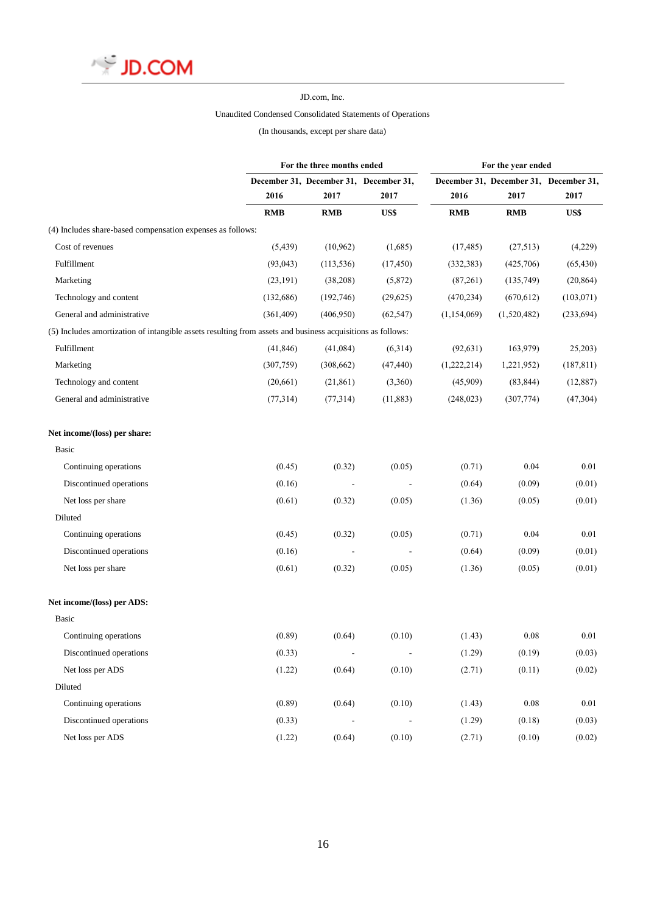

### Unaudited Condensed Consolidated Statements of Operations

(In thousands, except per share data)

|                                                                                                            |            | For the three months ended |                                        | For the year ended |                                        |            |  |
|------------------------------------------------------------------------------------------------------------|------------|----------------------------|----------------------------------------|--------------------|----------------------------------------|------------|--|
|                                                                                                            |            |                            | December 31, December 31, December 31, |                    | December 31, December 31, December 31, |            |  |
|                                                                                                            | 2016       | 2017                       | 2017                                   | 2016               | 2017                                   | 2017       |  |
|                                                                                                            | <b>RMB</b> | <b>RMB</b>                 | US\$                                   | <b>RMB</b>         | <b>RMB</b>                             | US\$       |  |
| (4) Includes share-based compensation expenses as follows:                                                 |            |                            |                                        |                    |                                        |            |  |
| Cost of revenues                                                                                           | (5, 439)   | (10,962)                   | (1,685)                                | (17, 485)          | (27,513)                               | (4,229)    |  |
| Fulfillment                                                                                                | (93, 043)  | (113, 536)                 | (17, 450)                              | (332, 383)         | (425,706)                              | (65, 430)  |  |
| Marketing                                                                                                  | (23, 191)  | (38,208)                   | (5,872)                                | (87,261)           | (135,749)                              | (20, 864)  |  |
| Technology and content                                                                                     | (132, 686) | (192, 746)                 | (29, 625)                              | (470, 234)         | (670, 612)                             | (103, 071) |  |
| General and administrative                                                                                 | (361, 409) | (406,950)                  | (62, 547)                              | (1,154,069)        | (1,520,482)                            | (233, 694) |  |
| (5) Includes amortization of intangible assets resulting from assets and business acquisitions as follows: |            |                            |                                        |                    |                                        |            |  |
| Fulfillment                                                                                                | (41, 846)  | (41,084)                   | (6,314)                                | (92, 631)          | 163,979)                               | 25,203)    |  |
| Marketing                                                                                                  | (307,759)  | (308, 662)                 | (47, 440)                              | (1,222,214)        | 1,221,952)                             | (187, 811) |  |
| Technology and content                                                                                     | (20,661)   | (21, 861)                  | (3,360)                                | (45,909)           | (83, 844)                              | (12, 887)  |  |
| General and administrative                                                                                 | (77,314)   | (77,314)                   | (11,883)                               | (248, 023)         | (307,774)                              | (47, 304)  |  |
| Net income/(loss) per share:                                                                               |            |                            |                                        |                    |                                        |            |  |
| <b>Basic</b>                                                                                               |            |                            |                                        |                    |                                        |            |  |
| Continuing operations                                                                                      | (0.45)     | (0.32)                     | (0.05)                                 | (0.71)             | 0.04                                   | 0.01       |  |
| Discontinued operations                                                                                    | (0.16)     |                            |                                        | (0.64)             | (0.09)                                 | (0.01)     |  |
| Net loss per share                                                                                         | (0.61)     | (0.32)                     | (0.05)                                 | (1.36)             | (0.05)                                 | (0.01)     |  |
| Diluted                                                                                                    |            |                            |                                        |                    |                                        |            |  |
| Continuing operations                                                                                      | (0.45)     | (0.32)                     | (0.05)                                 | (0.71)             | 0.04                                   | 0.01       |  |
| Discontinued operations                                                                                    | (0.16)     |                            |                                        | (0.64)             | (0.09)                                 | (0.01)     |  |
| Net loss per share                                                                                         | (0.61)     | (0.32)                     | (0.05)                                 | (1.36)             | (0.05)                                 | (0.01)     |  |
| Net income/(loss) per ADS:                                                                                 |            |                            |                                        |                    |                                        |            |  |
| <b>Basic</b>                                                                                               |            |                            |                                        |                    |                                        |            |  |
| Continuing operations                                                                                      | (0.89)     | (0.64)                     | (0.10)                                 | (1.43)             | 0.08                                   | $0.01\,$   |  |
| Discontinued operations                                                                                    | (0.33)     | $\overline{\phantom{a}}$   | ÷,                                     | (1.29)             | (0.19)                                 | (0.03)     |  |
| Net loss per ADS                                                                                           | (1.22)     | (0.64)                     | (0.10)                                 | (2.71)             | (0.11)                                 | (0.02)     |  |
| Diluted                                                                                                    |            |                            |                                        |                    |                                        |            |  |
| Continuing operations                                                                                      | (0.89)     | (0.64)                     | (0.10)                                 | (1.43)             | $0.08\,$                               | 0.01       |  |
| Discontinued operations                                                                                    | (0.33)     |                            |                                        | (1.29)             | (0.18)                                 | (0.03)     |  |
| Net loss per ADS                                                                                           | (1.22)     | (0.64)                     | (0.10)                                 | (2.71)             | (0.10)                                 | (0.02)     |  |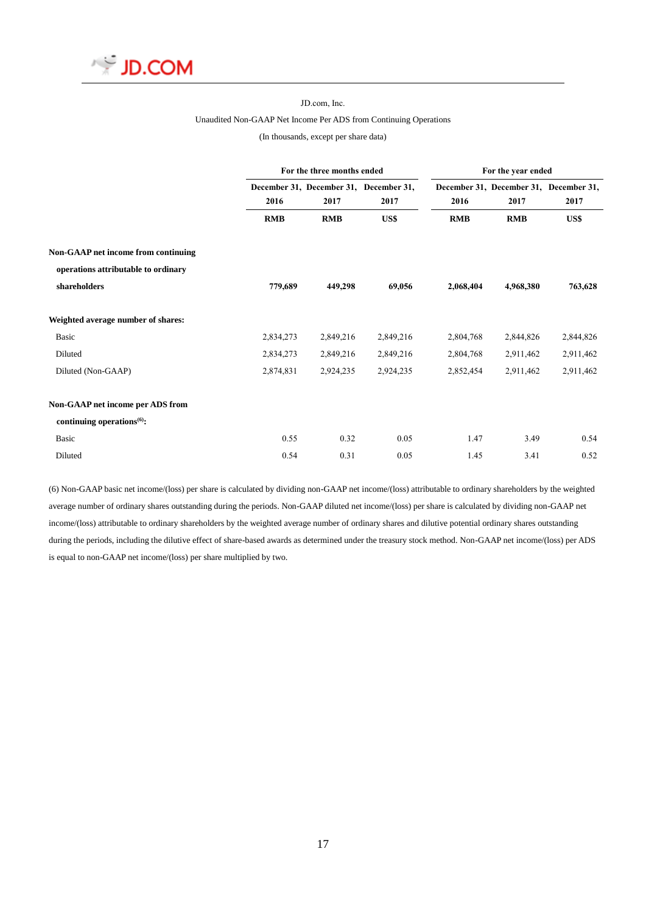

Unaudited Non-GAAP Net Income Per ADS from Continuing Operations

(In thousands, except per share data)

|                                                     |            | For the three months ended             |           |            | For the year ended                     |           |  |  |
|-----------------------------------------------------|------------|----------------------------------------|-----------|------------|----------------------------------------|-----------|--|--|
|                                                     |            | December 31, December 31, December 31, |           |            | December 31, December 31, December 31, |           |  |  |
|                                                     | 2016       | 2017                                   | 2017      | 2016       | 2017                                   | 2017      |  |  |
|                                                     | <b>RMB</b> | <b>RMB</b>                             | US\$      | <b>RMB</b> | <b>RMB</b>                             | US\$      |  |  |
| Non-GAAP net income from continuing                 |            |                                        |           |            |                                        |           |  |  |
| operations attributable to ordinary                 |            |                                        |           |            |                                        |           |  |  |
| shareholders                                        | 779,689    | 449,298                                | 69,056    | 2,068,404  | 4,968,380                              | 763,628   |  |  |
| Weighted average number of shares:                  |            |                                        |           |            |                                        |           |  |  |
| <b>Basic</b>                                        | 2,834,273  | 2,849,216                              | 2,849,216 | 2,804,768  | 2,844,826                              | 2,844,826 |  |  |
| Diluted                                             | 2,834,273  | 2,849,216                              | 2,849,216 | 2,804,768  | 2,911,462                              | 2,911,462 |  |  |
| Diluted (Non-GAAP)                                  | 2,874,831  | 2,924,235                              | 2,924,235 | 2,852,454  | 2,911,462                              | 2,911,462 |  |  |
| Non-GAAP net income per ADS from                    |            |                                        |           |            |                                        |           |  |  |
| continuing operations <sup><math>(6)</math></sup> : |            |                                        |           |            |                                        |           |  |  |
| <b>Basic</b>                                        | 0.55       | 0.32                                   | 0.05      | 1.47       | 3.49                                   | 0.54      |  |  |
| Diluted                                             | 0.54       | 0.31                                   | 0.05      | 1.45       | 3.41                                   | 0.52      |  |  |

(6) Non-GAAP basic net income/(loss) per share is calculated by dividing non-GAAP net income/(loss) attributable to ordinary shareholders by the weighted average number of ordinary shares outstanding during the periods. Non-GAAP diluted net income/(loss) per share is calculated by dividing non-GAAP net income/(loss) attributable to ordinary shareholders by the weighted average number of ordinary shares and dilutive potential ordinary shares outstanding during the periods, including the dilutive effect of share-based awards as determined under the treasury stock method. Non-GAAP net income/(loss) per ADS is equal to non-GAAP net income/(loss) per share multiplied by two.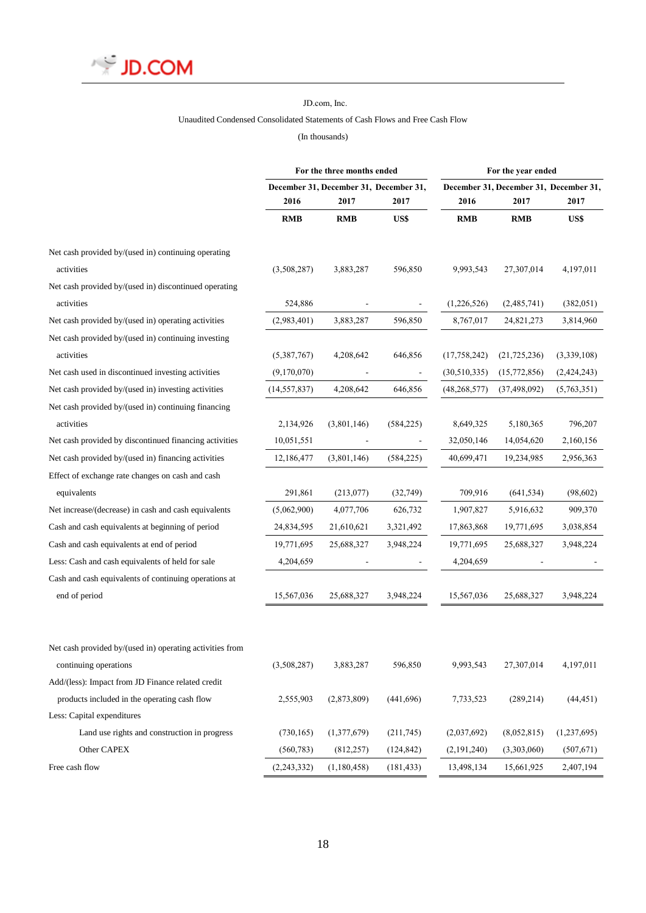

Unaudited Condensed Consolidated Statements of Cash Flows and Free Cash Flow

(In thousands)

|                                                          |                | For the three months ended |                                        | For the year ended |                                        |             |  |
|----------------------------------------------------------|----------------|----------------------------|----------------------------------------|--------------------|----------------------------------------|-------------|--|
|                                                          |                |                            | December 31, December 31, December 31, |                    | December 31, December 31, December 31, |             |  |
|                                                          | 2016           | 2017                       | 2017                                   | 2016               | 2017                                   | 2017        |  |
|                                                          | <b>RMB</b>     | <b>RMB</b>                 | US\$                                   | <b>RMB</b>         | <b>RMB</b>                             | US\$        |  |
| Net cash provided by/(used in) continuing operating      |                |                            |                                        |                    |                                        |             |  |
| activities                                               | (3,508,287)    | 3,883,287                  | 596,850                                | 9,993,543          | 27,307,014                             | 4,197,011   |  |
| Net cash provided by/(used in) discontinued operating    |                |                            |                                        |                    |                                        |             |  |
| activities                                               | 524,886        |                            |                                        | (1,226,526)        | (2,485,741)                            | (382,051)   |  |
| Net cash provided by/(used in) operating activities      | (2,983,401)    | 3,883,287                  | 596,850                                | 8,767,017          | 24,821,273                             | 3,814,960   |  |
| Net cash provided by/(used in) continuing investing      |                |                            |                                        |                    |                                        |             |  |
| activities                                               | (5,387,767)    | 4,208,642                  | 646,856                                | (17,758,242)       | (21, 725, 236)                         | (3,339,108) |  |
| Net cash used in discontinued investing activities       | (9,170,070)    |                            |                                        | (30,510,335)       | (15,772,856)                           | (2,424,243) |  |
| Net cash provided by/(used in) investing activities      | (14, 557, 837) | 4,208,642                  | 646,856                                | (48, 268, 577)     | (37, 498, 092)                         | (5,763,351) |  |
| Net cash provided by/(used in) continuing financing      |                |                            |                                        |                    |                                        |             |  |
| activities                                               | 2,134,926      | (3,801,146)                | (584, 225)                             | 8,649,325          | 5,180,365                              | 796,207     |  |
| Net cash provided by discontinued financing activities   | 10,051,551     |                            |                                        | 32,050,146         | 14,054,620                             | 2,160,156   |  |
| Net cash provided by/(used in) financing activities      | 12,186,477     | (3,801,146)                | (584, 225)                             | 40,699,471         | 19,234,985                             | 2,956,363   |  |
| Effect of exchange rate changes on cash and cash         |                |                            |                                        |                    |                                        |             |  |
| equivalents                                              | 291,861        | (213,077)                  | (32,749)                               | 709,916            | (641, 534)                             | (98,602)    |  |
| Net increase/(decrease) in cash and cash equivalents     | (5,062,900)    | 4,077,706                  | 626,732                                | 1,907,827          | 5,916,632                              | 909,370     |  |
| Cash and cash equivalents at beginning of period         | 24,834,595     | 21,610,621                 | 3,321,492                              | 17,863,868         | 19,771,695                             | 3,038,854   |  |
| Cash and cash equivalents at end of period               | 19,771,695     | 25,688,327                 | 3,948,224                              | 19,771,695         | 25,688,327                             | 3,948,224   |  |
| Less: Cash and cash equivalents of held for sale         | 4,204,659      |                            |                                        | 4,204,659          |                                        |             |  |
| Cash and cash equivalents of continuing operations at    |                |                            |                                        |                    |                                        |             |  |
| end of period                                            | 15,567,036     | 25,688,327                 | 3,948,224                              | 15,567,036         | 25,688,327                             | 3,948,224   |  |
| Net cash provided by/(used in) operating activities from |                |                            |                                        |                    |                                        |             |  |
| continuing operations                                    | (3,508,287)    | 3,883,287                  | 596,850                                | 9,993,543          | 27,307,014                             | 4,197,011   |  |
| Add/(less): Impact from JD Finance related credit        |                |                            |                                        |                    |                                        |             |  |
| products included in the operating cash flow             | 2,555,903      | (2,873,809)                | (441,696)                              | 7,733,523          | (289, 214)                             | (44, 451)   |  |
| Less: Capital expenditures                               |                |                            |                                        |                    |                                        |             |  |
| Land use rights and construction in progress             | (730, 165)     | (1,377,679)                | (211,745)                              | (2,037,692)        | (8,052,815)                            | (1,237,695) |  |
| Other CAPEX                                              | (560, 783)     | (812, 257)                 | (124, 842)                             | (2,191,240)        | (3,303,060)                            | (507,671)   |  |
| Free cash flow                                           | (2,243,332)    | (1,180,458)                | (181, 433)                             | 13,498,134         | 15,661,925                             | 2,407,194   |  |
|                                                          |                |                            |                                        |                    |                                        |             |  |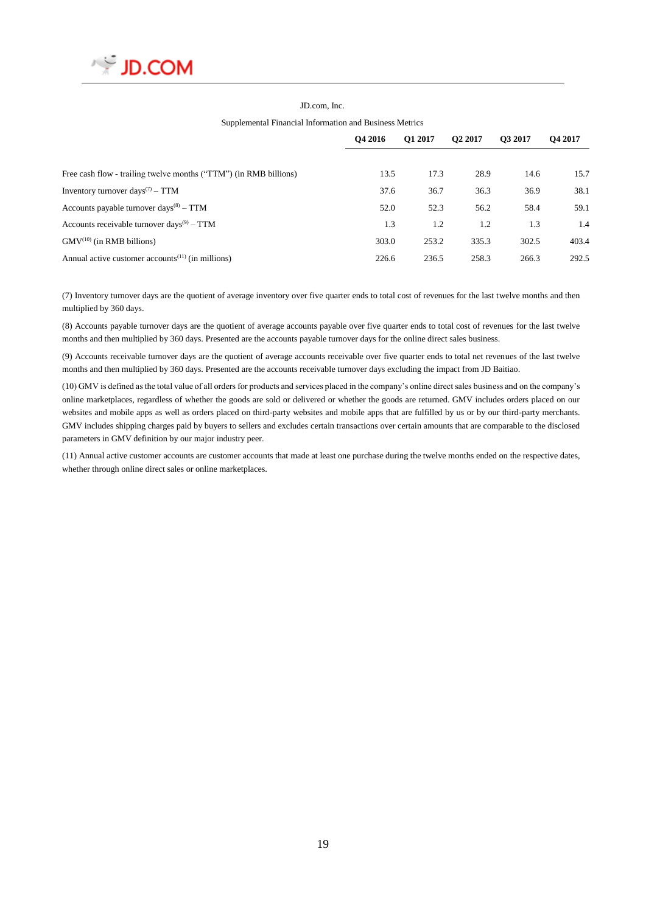

| Supplemental Financial Information and Business Metrics |
|---------------------------------------------------------|
|---------------------------------------------------------|

|                                                                            | <b>O4 2016</b> | O1 2017 | O <sub>2</sub> 2017 | O3 2017 | <b>O4 2017</b> |
|----------------------------------------------------------------------------|----------------|---------|---------------------|---------|----------------|
|                                                                            |                |         |                     |         |                |
| Free cash flow - trailing twelve months ("TTM") (in RMB billions)          | 13.5           | 17.3    | 28.9                | 14.6    | 15.7           |
| Inventory turnover $\text{days}^{(7)} - \text{TTM}$                        | 37.6           | 36.7    | 36.3                | 36.9    | 38.1           |
| Accounts payable turnover $\text{days}^{(8)} - \text{TTM}$                 | 52.0           | 52.3    | 56.2                | 58.4    | 59.1           |
| Accounts receivable turnover $\text{days}^{(9)} - \text{TTM}$              | 1.3            | 1.2     | 1.2                 | 1.3     | 1.4            |
| $GMV^{(10)}$ (in RMB billions)                                             | 303.0          | 253.2   | 335.3               | 302.5   | 403.4          |
| Annual active customer accounts <sup><math>(11)</math></sup> (in millions) | 226.6          | 236.5   | 258.3               | 266.3   | 292.5          |

(7) Inventory turnover days are the quotient of average inventory over five quarter ends to total cost of revenues for the last twelve months and then multiplied by 360 days.

(8) Accounts payable turnover days are the quotient of average accounts payable over five quarter ends to total cost of revenues for the last twelve months and then multiplied by 360 days. Presented are the accounts payable turnover days for the online direct sales business.

(9) Accounts receivable turnover days are the quotient of average accounts receivable over five quarter ends to total net revenues of the last twelve months and then multiplied by 360 days. Presented are the accounts receivable turnover days excluding the impact from JD Baitiao.

(10) GMV is defined as the total value of all orders for products and services placed in the company's online direct sales business and on the company's online marketplaces, regardless of whether the goods are sold or delivered or whether the goods are returned. GMV includes orders placed on our websites and mobile apps as well as orders placed on third-party websites and mobile apps that are fulfilled by us or by our third-party merchants. GMV includes shipping charges paid by buyers to sellers and excludes certain transactions over certain amounts that are comparable to the disclosed parameters in GMV definition by our major industry peer.

(11) Annual active customer accounts are customer accounts that made at least one purchase during the twelve months ended on the respective dates, whether through online direct sales or online marketplaces.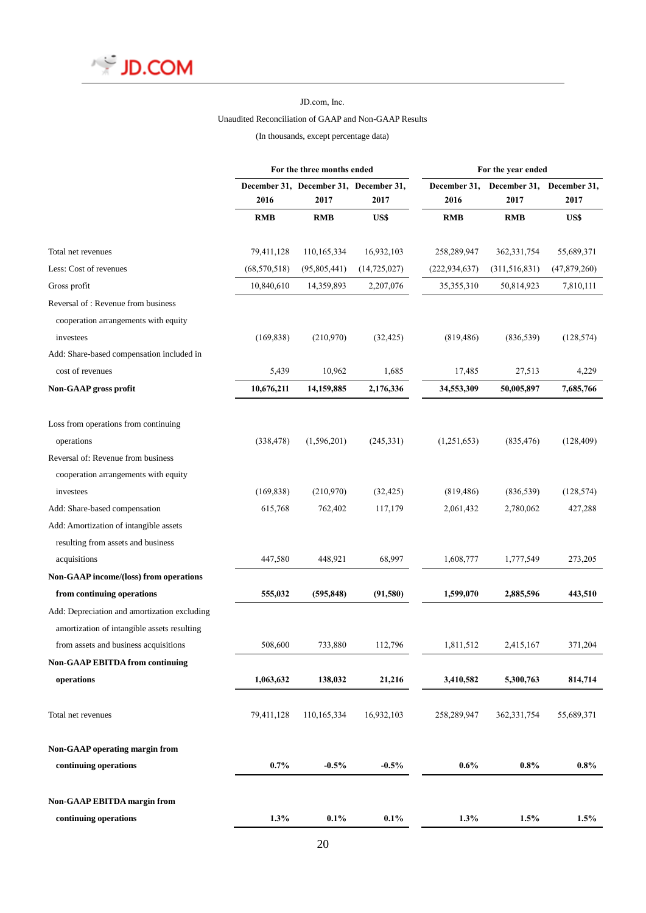

Unaudited Reconciliation of GAAP and Non-GAAP Results

(In thousands, except percentage data)

|                                              |                | For the three months ended             |                | For the year ended |                 |              |  |
|----------------------------------------------|----------------|----------------------------------------|----------------|--------------------|-----------------|--------------|--|
|                                              |                | December 31, December 31, December 31, |                | December 31,       | December 31,    | December 31, |  |
|                                              | 2016           | 2017                                   | 2017           | 2016               | 2017            | 2017         |  |
|                                              | <b>RMB</b>     | <b>RMB</b>                             | US\$           | <b>RMB</b>         | <b>RMB</b>      | US\$         |  |
| Total net revenues                           | 79,411,128     | 110,165,334                            | 16,932,103     | 258,289,947        | 362, 331, 754   | 55,689,371   |  |
| Less: Cost of revenues                       | (68, 570, 518) | (95,805,441)                           | (14, 725, 027) | (222, 934, 637)    | (311, 516, 831) | (47,879,260) |  |
| Gross profit                                 | 10,840,610     | 14,359,893                             | 2,207,076      | 35, 355, 310       | 50,814,923      | 7,810,111    |  |
| Reversal of: Revenue from business           |                |                                        |                |                    |                 |              |  |
| cooperation arrangements with equity         |                |                                        |                |                    |                 |              |  |
| investees                                    | (169, 838)     | (210,970)                              | (32, 425)      | (819, 486)         | (836, 539)      | (128, 574)   |  |
| Add: Share-based compensation included in    |                |                                        |                |                    |                 |              |  |
| cost of revenues                             | 5,439          | 10,962                                 | 1,685          | 17,485             | 27,513          | 4,229        |  |
| Non-GAAP gross profit                        | 10,676,211     | 14,159,885                             | 2,176,336      | 34,553,309         | 50,005,897      | 7,685,766    |  |
| Loss from operations from continuing         |                |                                        |                |                    |                 |              |  |
| operations                                   | (338, 478)     | (1,596,201)                            | (245,331)      | (1,251,653)        | (835, 476)      | (128, 409)   |  |
| Reversal of: Revenue from business           |                |                                        |                |                    |                 |              |  |
| cooperation arrangements with equity         |                |                                        |                |                    |                 |              |  |
| investees                                    | (169, 838)     | (210,970)                              | (32, 425)      | (819, 486)         | (836, 539)      | (128, 574)   |  |
| Add: Share-based compensation                | 615,768        | 762,402                                | 117,179        | 2,061,432          | 2,780,062       | 427,288      |  |
| Add: Amortization of intangible assets       |                |                                        |                |                    |                 |              |  |
| resulting from assets and business           |                |                                        |                |                    |                 |              |  |
| acquisitions                                 | 447,580        | 448,921                                | 68,997         | 1,608,777          | 1,777,549       | 273,205      |  |
| Non-GAAP income/(loss) from operations       |                |                                        |                |                    |                 |              |  |
| from continuing operations                   | 555,032        | (595, 848)                             | (91,580)       | 1,599,070          | 2,885,596       | 443,510      |  |
| Add: Depreciation and amortization excluding |                |                                        |                |                    |                 |              |  |
| amortization of intangible assets resulting  |                |                                        |                |                    |                 |              |  |
| from assets and business acquisitions        | 508,600        | 733,880                                | 112,796        | 1,811,512          | 2,415,167       | 371,204      |  |
| <b>Non-GAAP EBITDA from continuing</b>       |                |                                        |                |                    |                 |              |  |
| operations                                   | 1,063,632      | 138,032                                | 21,216         | 3,410,582          | 5,300,763       | 814,714      |  |
| Total net revenues                           | 79,411,128     | 110,165,334                            | 16,932,103     | 258,289,947        | 362, 331, 754   | 55,689,371   |  |
| Non-GAAP operating margin from               |                |                                        |                |                    |                 |              |  |
| continuing operations                        | 0.7%           | $-0.5%$                                | $-0.5%$        | 0.6%               | 0.8%            | $0.8\%$      |  |
| <b>Non-GAAP EBITDA margin from</b>           |                |                                        |                |                    |                 |              |  |
| continuing operations                        | 1.3%           | $0.1\%$                                | $0.1\%$        | 1.3%               | 1.5%            | 1.5%         |  |